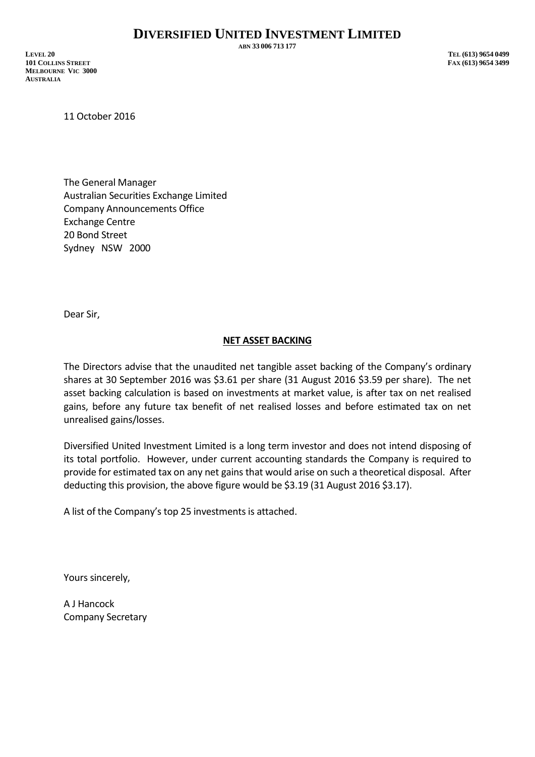**ABN 33 006 713 177**

**LEVEL 20 TEL (613) 9654 0499 101 COLLINS STREET FAX (613) 9654 3499 MELBOURNE VIC 3000 AUSTRALIA**

11 October 2016

The General Manager Australian Securities Exchange Limited Company Announcements Office Exchange Centre 20 Bond Street Sydney NSW 2000

Dear Sir,

## **NET ASSET BACKING**

The Directors advise that the unaudited net tangible asset backing of the Company's ordinary shares at 30 September 2016 was \$3.61 per share (31 August 2016 \$3.59 per share). The net asset backing calculation is based on investments at market value, is after tax on net realised gains, before any future tax benefit of net realised losses and before estimated tax on net unrealised gains/losses.

Diversified United Investment Limited is a long term investor and does not intend disposing of its total portfolio. However, under current accounting standards the Company is required to provide for estimated tax on any net gains that would arise on such a theoretical disposal. After deducting this provision, the above figure would be \$3.19 (31 August 2016 \$3.17).

A list of the Company's top 25 investments is attached.

Yours sincerely,

A J Hancock Company Secretary